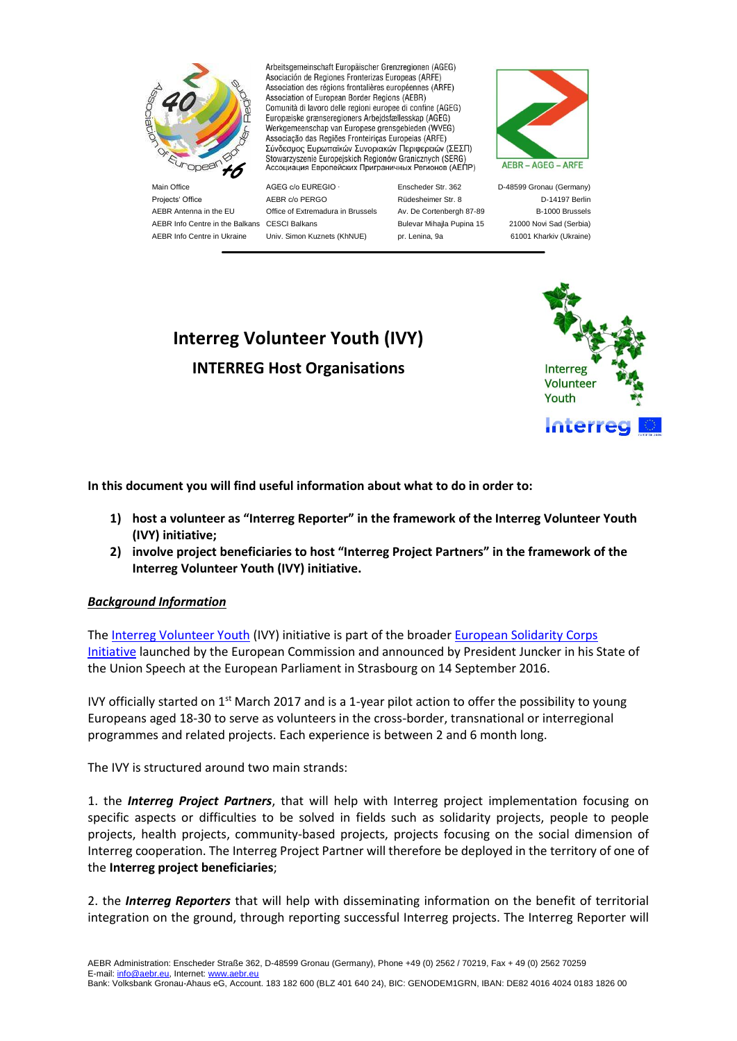

Arbeitsgemeinschaft Europäischer Grenzregionen (AGEG) Asociación de Regiones Fronterizas Europeas (ARFE) Association des régions frontalières européennes (ARFE) Association of European Border Regions (AEBR) Comunità di lavoro delle regioni europee di confine (AGEG) Europæiske grænseregioners Arbejdsfællesskap (AGEG) Werkgemeenschap van Europese grensgebieden (WVEG) Associação das Regiões Fronteiriças Europeias (ARFE) Σύνδεσμος Ευρωπαϊκών Συνοριακών Περιφερειών (ΣΕΣΠ) Stowarzyszenie Europejskich Regionów Granicznych (SERG)<br>Accouvalua Esponeйских Приграничных Регионов (АЕПР)



AEBR Info Centre in Ukraine Univ. Simon Kuznets (KhNUE) pr. Lenina, 9a 61001 Kharkiv (Ukraine)

Main Office AGEG c/o EUREGIO ∙ Enscheder Str. 362 D-48599 Gronau (Germany) Projects' Office AEBR c/o PERGO Rüdesheimer Str. 8 D-14197 Berlin AEBR Antenna in the EU Office of Extremadura in Brussels Av. De Cortenbergh 87-89 B-1000 Brussels AEBR Info Centre in the Balkans CESCI Balkans Bulevar Mihajla Pupina 15 21000 Novi Sad (Serbia)





**In this document you will find useful information about what to do in order to:**

- **1) host a volunteer as "Interreg Reporter" in the framework of the Interreg Volunteer Youth (IVY) initiative;**
- **2) involve project beneficiaries to host "Interreg Project Partners" in the framework of the Interreg Volunteer Youth (IVY) initiative.**

#### *Background Information*

The [Interreg Volunteer Youth](https://www.interregyouth.com/) (IVY) initiative is part of the broader [European Solidarity Corps](https://europa.eu/youth/solidarity_en)  [Initiative](https://europa.eu/youth/solidarity_en) launched by the European Commission and announced by President Juncker in his State of the Union Speech at the European Parliament in Strasbourg on 14 September 2016.

IVY officially started on  $1<sup>st</sup>$  March 2017 and is a 1-year pilot action to offer the possibility to young Europeans aged 18-30 to serve as volunteers in the cross-border, transnational or interregional programmes and related projects. Each experience is between 2 and 6 month long.

The IVY is structured around two main strands:

1. the *Interreg Project Partners*, that will help with Interreg project implementation focusing on specific aspects or difficulties to be solved in fields such as solidarity projects, people to people projects, health projects, community-based projects, projects focusing on the social dimension of Interreg cooperation. The Interreg Project Partner will therefore be deployed in the territory of one of the **Interreg project beneficiaries**;

2. the *Interreg Reporters* that will help with disseminating information on the benefit of territorial integration on the ground, through reporting successful Interreg projects. The Interreg Reporter will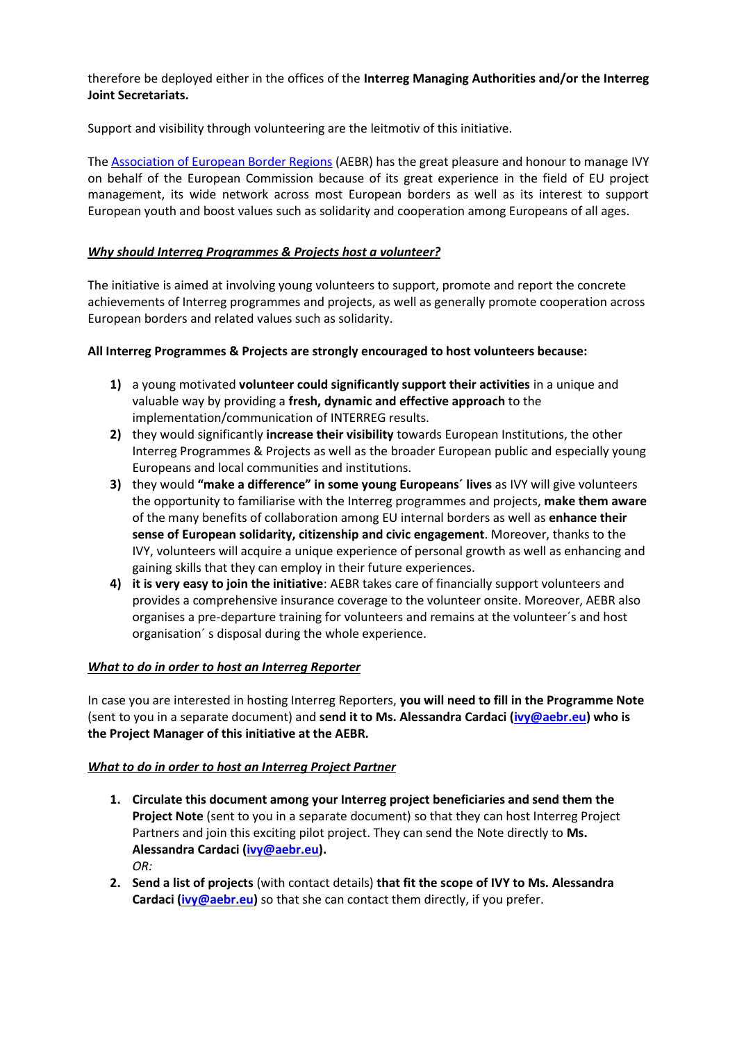therefore be deployed either in the offices of the **Interreg Managing Authorities and/or the Interreg Joint Secretariats.** 

Support and visibility through volunteering are the leitmotiv of this initiative.

The [Association of European Border Regions](http://www.aebr.eu/en/) (AEBR) has the great pleasure and honour to manage IVY on behalf of the European Commission because of its great experience in the field of EU project management, its wide network across most European borders as well as its interest to support European youth and boost values such as solidarity and cooperation among Europeans of all ages.

## *Why should Interreg Programmes & Projects host a volunteer?*

The initiative is aimed at involving young volunteers to support, promote and report the concrete achievements of Interreg programmes and projects, as well as generally promote cooperation across European borders and related values such as solidarity.

### **All Interreg Programmes & Projects are strongly encouraged to host volunteers because:**

- **1)** a young motivated **volunteer could significantly support their activities** in a unique and valuable way by providing a **fresh, dynamic and effective approach** to the implementation/communication of INTERREG results.
- **2)** they would significantly **increase their visibility** towards European Institutions, the other Interreg Programmes & Projects as well as the broader European public and especially young Europeans and local communities and institutions.
- **3)** they would **"make a difference" in some young Europeans´ lives** as IVY will give volunteers the opportunity to familiarise with the Interreg programmes and projects, **make them aware** of the many benefits of collaboration among EU internal borders as well as **enhance their sense of European solidarity, citizenship and civic engagement**. Moreover, thanks to the IVY, volunteers will acquire a unique experience of personal growth as well as enhancing and gaining skills that they can employ in their future experiences.
- **4) it is very easy to join the initiative**: AEBR takes care of financially support volunteers and provides a comprehensive insurance coverage to the volunteer onsite. Moreover, AEBR also organises a pre-departure training for volunteers and remains at the volunteer´s and host organisation´ s disposal during the whole experience.

#### *What to do in order to host an Interreg Reporter*

In case you are interested in hosting Interreg Reporters, **you will need to fill in the Programme Note**  (sent to you in a separate document) and **send it to Ms. Alessandra Cardaci [\(ivy@aebr.eu\)](mailto:ivy@aebr.eu) who is the Project Manager of this initiative at the AEBR.**

#### *What to do in order to host an Interreg Project Partner*

- **1. Circulate this document among your Interreg project beneficiaries and send them the Project Note** (sent to you in a separate document) so that they can host Interreg Project Partners and join this exciting pilot project. They can send the Note directly to **Ms. Alessandra Cardaci [\(ivy@aebr.eu\)](mailto:ivy@aebr.eu).** *OR:*
- **2. Send a list of projects** (with contact details) **that fit the scope of IVY to Ms. Alessandra Cardaci [\(ivy@aebr.eu\)](mailto:ivy@aebr.eu)** so that she can contact them directly, if you prefer.